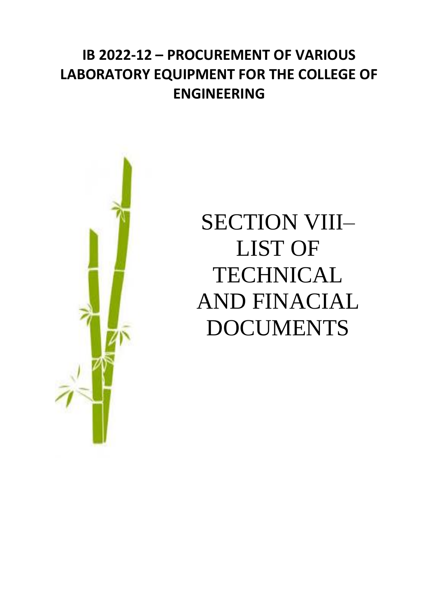## **IB 2022-12 – PROCUREMENT OF VARIOUS LABORATORY EQUIPMENT FOR THE COLLEGE OF ENGINEERING**



# SECTION VIII– LIST OF **TECHNICAL** AND FINACIAL DOCUMENTS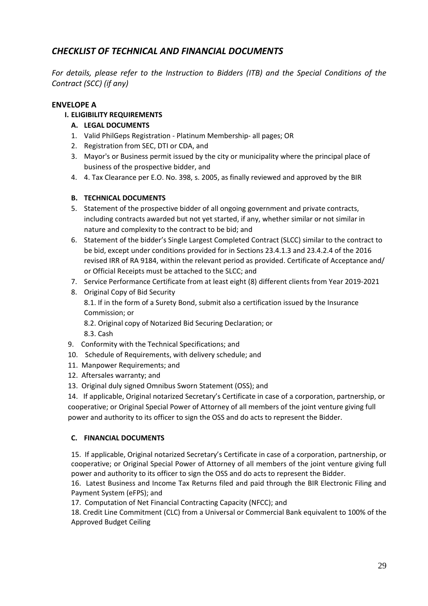### *CHECKLIST OF TECHNICAL AND FINANCIAL DOCUMENTS*

*For details, please refer to the Instruction to Bidders (ITB) and the Special Conditions of the Contract (SCC) (if any)*

#### **ENVELOPE A**

#### **I. ELIGIBILITY REQUIREMENTS**

- **A. LEGAL DOCUMENTS**
- 1. Valid PhilGeps Registration Platinum Membership- all pages; OR
- 2. Registration from SEC, DTI or CDA, and
- 3. Mayor's or Business permit issued by the city or municipality where the principal place of business of the prospective bidder, and
- 4. 4. Tax Clearance per E.O. No. 398, s. 2005, as finally reviewed and approved by the BIR

#### **B. TECHNICAL DOCUMENTS**

- 5. Statement of the prospective bidder of all ongoing government and private contracts, including contracts awarded but not yet started, if any, whether similar or not similar in nature and complexity to the contract to be bid; and
- 6. Statement of the bidder's Single Largest Completed Contract (SLCC) similar to the contract to be bid, except under conditions provided for in Sections 23.4.1.3 and 23.4.2.4 of the 2016 revised IRR of RA 9184, within the relevant period as provided. Certificate of Acceptance and/ or Official Receipts must be attached to the SLCC; and
- 7. Service Performance Certificate from at least eight (8) different clients from Year 2019-2021
- 8. Original Copy of Bid Security 8.1. If in the form of a Surety Bond, submit also a certification issued by the Insurance Commission; or
	- 8.2. Original copy of Notarized Bid Securing Declaration; or
	- 8.3. Cash
- 9. Conformity with the Technical Specifications; and
- 10. Schedule of Requirements, with delivery schedule; and
- 11. Manpower Requirements; and
- 12. Aftersales warranty; and
- 13. Original duly signed Omnibus Sworn Statement (OSS); and

14. If applicable, Original notarized Secretary's Certificate in case of a corporation, partnership, or cooperative; or Original Special Power of Attorney of all members of the joint venture giving full power and authority to its officer to sign the OSS and do acts to represent the Bidder.

#### **C. FINANCIAL DOCUMENTS**

15. If applicable, Original notarized Secretary's Certificate in case of a corporation, partnership, or cooperative; or Original Special Power of Attorney of all members of the joint venture giving full power and authority to its officer to sign the OSS and do acts to represent the Bidder.

16. Latest Business and Income Tax Returns filed and paid through the BIR Electronic Filing and Payment System (eFPS); and

17. Computation of Net Financial Contracting Capacity (NFCC); and

18. Credit Line Commitment (CLC) from a Universal or Commercial Bank equivalent to 100% of the Approved Budget Ceiling